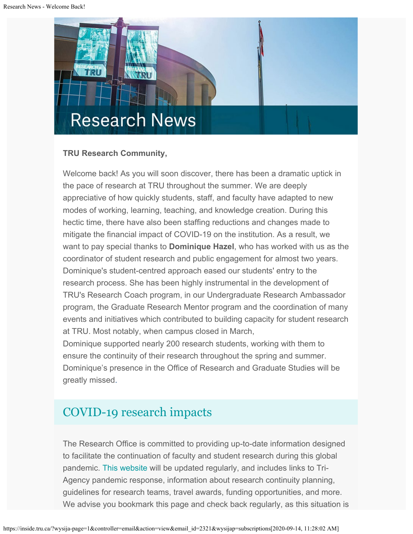

#### **TRU Research Community,**

Welcome back! As you will soon discover, there has been a dramatic uptick in the pace of research at TRU throughout the summer. We are deeply appreciative of how quickly students, staff, and faculty have adapted to new modes of working, learning, teaching, and knowledge creation. During this hectic time, there have also been staffing reductions and changes made to mitigate the financial impact of COVID-19 on the institution. As a result, we want to pay special thanks to **Dominique Hazel**, who has worked with us as the coordinator of student research and public engagement for almost two years. Dominique's student-centred approach eased our students' entry to the research process. She has been highly instrumental in the development of TRU's Research Coach program, in our Undergraduate Research Ambassador program, the Graduate Research Mentor program and the coordination of many events and initiatives which contributed to building capacity for student research at TRU. Most notably, when campus closed in March,

Dominique supported nearly 200 research students, working with them to ensure the continuity of their research throughout the spring and summer. Dominique's presence in the Office of Research and Graduate Studies will be greatly missed.

# [COVID-19 research impacts](https://www.tru.ca/research/covid-19-research-impacts.html)

The Research Office is committed to providing up-to-date information designed to facilitate the continuation of faculty and student research during this global pandemic. [This website](https://www.tru.ca/research/covid-19-research-impacts.html) will be updated regularly, and includes links to Tri-Agency pandemic response, information about research continuity planning, guidelines for research teams, travel awards, funding opportunities, and more. We advise you bookmark this page and check back regularly, as this situation is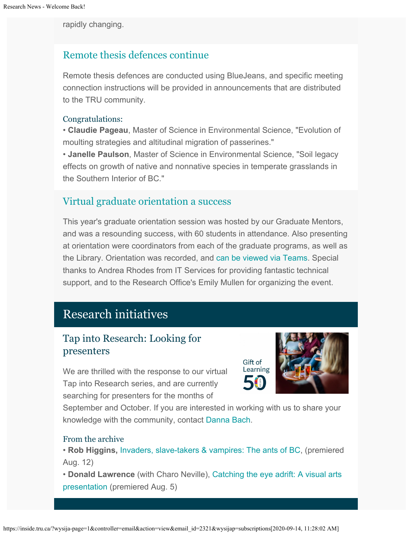rapidly changing.

## [Remote thesis defences continue](https://www.tru.ca/research/graduate-studies/remote-thesis-defence-procedures.html)

Remote thesis defences are conducted using BlueJeans, and specific meeting connection instructions will be provided in announcements that are distributed to the TRU community.

#### Congratulations:

• **Claudie Pageau**, Master of Science in Environmental Science, "Evolution of moulting strategies and altitudinal migration of passerines."

• **Janelle Paulson**, Master of Science in Environmental Science, "Soil legacy effects on growth of native and nonnative species in temperate grasslands in the Southern Interior of BC."

## [Virtual graduate orientation a success](https://web.microsoftstream.com/video/bf0f8509-d923-422b-b797-0e4e7e04a8d3)

This year's graduate orientation session was hosted by our Graduate Mentors, and was a resounding success, with 60 students in attendance. Also presenting at orientation were coordinators from each of the graduate programs, as well as the Library. Orientation was recorded, and [can be viewed via Teams](https://web.microsoftstream.com/video/bf0f8509-d923-422b-b797-0e4e7e04a8d3). Special thanks to Andrea Rhodes from IT Services for providing fantastic technical support, and to the Research Office's Emily Mullen for organizing the event.

# Research initiatives

## Tap into Research: Looking for presenters

We are thrilled with the response to our virtual Tap into Research series, and are currently searching for presenters for the months of

Learning

Gift of

September and October. If you are interested in working with us to share your knowledge with the community, contact [Danna Bach](mailto:dbach@tru.ca).

#### From the archive

• **Rob Higgins,** [Invaders, slave-takers & vampires: The ants of BC](https://youtu.be/2R-g0ZamGs4), (premiered Aug. 12)

• **Donald Lawrence** (with Charo Neville), [Catching the eye adrift: A visual arts](https://youtu.be/_MYKlOvaccU) [presentation](https://youtu.be/_MYKlOvaccU) (premiered Aug. 5)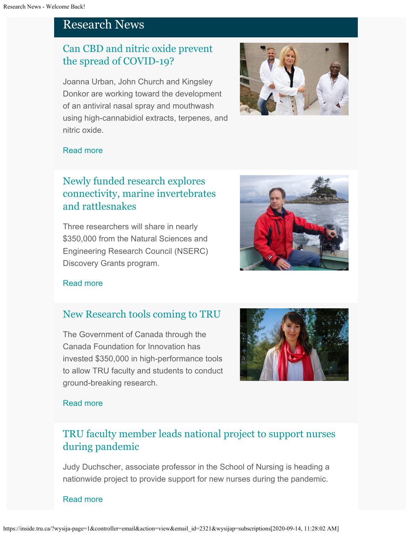# Research News

# [Can CBD and nitric oxide prevent](http://inside.tru.ca/2020/09/02/can-cbd-and-nitric-oxide-prevent-the-spread-of-covid-19/) [the spread of COVID-19?](http://inside.tru.ca/2020/09/02/can-cbd-and-nitric-oxide-prevent-the-spread-of-covid-19/)

Joanna Urban, John Church and Kingsley Donkor are working toward the development of an antiviral nasal spray and mouthwash using high-cannabidiol extracts, terpenes, and nitric oxide.



#### [Read more](http://inside.tru.ca/2020/09/02/can-cbd-and-nitric-oxide-prevent-the-spread-of-covid-19/)

# [Newly funded research explores](http://inside.tru.ca/2020/08/27/newly-funded-research-explores-connectivity-marine-invertebrates-and-rattlesnakes/) [connectivity, marine invertebrates](http://inside.tru.ca/2020/08/27/newly-funded-research-explores-connectivity-marine-invertebrates-and-rattlesnakes/) [and rattlesnakes](http://inside.tru.ca/2020/08/27/newly-funded-research-explores-connectivity-marine-invertebrates-and-rattlesnakes/)

Three researchers will share in nearly \$350,000 from the Natural Sciences and Engineering Research Council (NSERC) Discovery Grants program.



#### [Read more](http://inside.tru.ca/2020/08/27/newly-funded-research-explores-connectivity-marine-invertebrates-and-rattlesnakes/)

### [New Research tools coming to TRU](http://inside.tru.ca/2020/08/25/new-research-tools-coming-to-tru/)

The Government of Canada through the Canada Foundation for Innovation has invested \$350,000 in high-performance tools to allow TRU faculty and students to conduct ground-breaking research.



#### [Read more](http://inside.tru.ca/2020/08/25/new-research-tools-coming-to-tru/)

# [TRU faculty member leads national project to support nurses](http://inside.tru.ca/releases/tru-faculty-member-leads-national-project-to-support-nurses-during-pandemic/) [during pandemic](http://inside.tru.ca/releases/tru-faculty-member-leads-national-project-to-support-nurses-during-pandemic/)

Judy Duchscher, associate professor in the School of Nursing is heading a nationwide project to provide support for new nurses during the pandemic.

[Read more](http://inside.tru.ca/releases/tru-faculty-member-leads-national-project-to-support-nurses-during-pandemic/)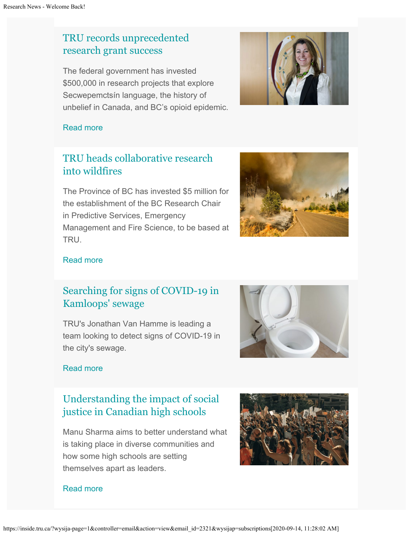# [TRU records unprecedented](http://inside.tru.ca/2020/08/10/tru-records-unprecedented-research-grant-success/) [research grant success](http://inside.tru.ca/2020/08/10/tru-records-unprecedented-research-grant-success/)

The federal government has invested \$500,000 in research projects that explore Secwepemctsín language, the history of unbelief in Canada, and BC's opioid epidemic.



#### [Read more](http://inside.tru.ca/2020/08/10/tru-records-unprecedented-research-grant-success/)

# [TRU heads collaborative research](http://inside.tru.ca/2020/07/30/tru-heads-collaborative-research-into-wildfires/) [into wildfires](http://inside.tru.ca/2020/07/30/tru-heads-collaborative-research-into-wildfires/)

The Province of BC has invested \$5 million for the establishment of the BC Research Chair in Predictive Services, Emergency Management and Fire Science, to be based at TRU.



### [Read more](http://inside.tru.ca/2020/07/30/tru-heads-collaborative-research-into-wildfires/)

# [Searching for signs of COVID-19 in](http://inside.tru.ca/2020/07/27/searching-for-signs-of-covid-19-in-kamloops-sewage/) [Kamloops' sewage](http://inside.tru.ca/2020/07/27/searching-for-signs-of-covid-19-in-kamloops-sewage/)

TRU's Jonathan Van Hamme is leading a team looking to detect signs of COVID-19 in the city's sewage.



#### [Read more](http://inside.tru.ca/2020/07/27/searching-for-signs-of-covid-19-in-kamloops-sewage/)

# [Understanding the impact of social](http://inside.tru.ca/2020/07/16/understanding-the-impact-of-social-justice-in-canadian-high-schools/) [justice in Canadian high schools](http://inside.tru.ca/2020/07/16/understanding-the-impact-of-social-justice-in-canadian-high-schools/)

Manu Sharma aims to better understand what is taking place in diverse communities and how some high schools are setting themselves apart as leaders.



#### [Read more](http://inside.tru.ca/2020/07/16/understanding-the-impact-of-social-justice-in-canadian-high-schools/)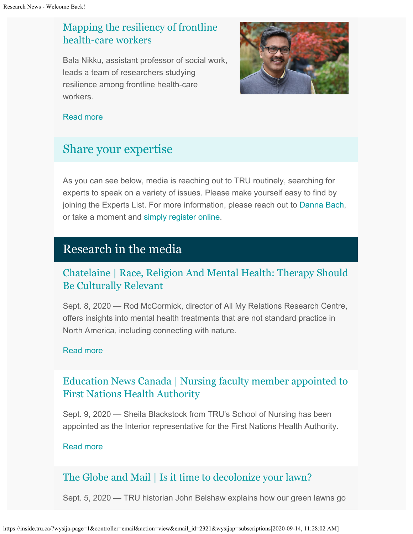# [Mapping the resiliency of frontline](http://inside.tru.ca/2020/07/14/mapping-the-resiliency-of-frontline-health-care-workers/) [health-care workers](http://inside.tru.ca/2020/07/14/mapping-the-resiliency-of-frontline-health-care-workers/)

Bala Nikku, assistant professor of social work, leads a team of researchers studying resilience among frontline health-care workers.



#### [Read more](http://inside.tru.ca/2020/07/14/mapping-the-resiliency-of-frontline-health-care-workers/)

# [Share your expertise](https://inside.tru.ca/tru.ca/experts)

As you can see below, media is reaching out to TRU routinely, searching for experts to speak on a variety of issues. Please make yourself easy to find by joining the Experts List. For more information, please reach out to [Danna Bach](mailto:dbach@tru.ca), or take a moment and [simply register online](https://inside.tru.ca/find-an-expert/experts-registration-update/).

# Research in the media

## [Chatelaine | Race, Religion And Mental Health: Therapy Should](http://inside.tru.ca/inthemedia/chatelaine-race-religion-and-mental-health-therapy-should-be-culturally-relevant/) [Be Culturally Relevant](http://inside.tru.ca/inthemedia/chatelaine-race-religion-and-mental-health-therapy-should-be-culturally-relevant/)

Sept. 8, 2020 — Rod McCormick, director of All My Relations Research Centre, offers insights into mental health treatments that are not standard practice in North America, including connecting with nature.

#### [Read more](http://inside.tru.ca/inthemedia/chatelaine-race-religion-and-mental-health-therapy-should-be-culturally-relevant/)

# [Education News Canada | Nursing faculty member appointed to](http://inside.tru.ca/inthemedia/education-news-canada-nursing-faculty-member-appointed-to-first-nations-health-authority/) [First Nations Health Authority](http://inside.tru.ca/inthemedia/education-news-canada-nursing-faculty-member-appointed-to-first-nations-health-authority/)

Sept. 9, 2020 — Sheila Blackstock from TRU's School of Nursing has been appointed as the Interior representative for the First Nations Health Authority.

#### [Read more](http://inside.tru.ca/inthemedia/education-news-canada-nursing-faculty-member-appointed-to-first-nations-health-authority/)

# [The Globe and Mail | Is it time to decolonize your lawn?](http://inside.tru.ca/inthemedia/the-globe-and-mail-is-it-time-to-decolonize-your-lawn/)

Sept. 5, 2020 — TRU historian John Belshaw explains how our green lawns go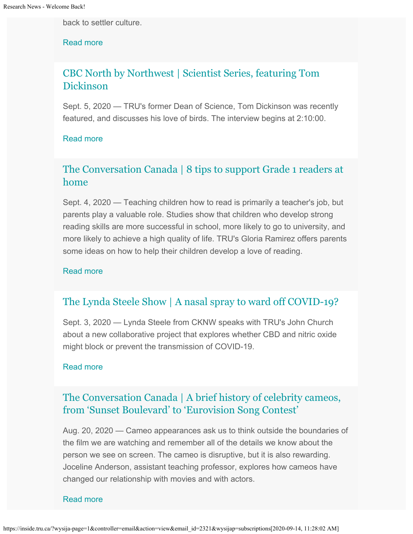back to settler culture.

[Read more](http://inside.tru.ca/inthemedia/the-globe-and-mail-is-it-time-to-decolonize-your-lawn/)

## [CBC North by Northwest | Scientist Series, featuring Tom](http://inside.tru.ca/inthemedia/cbc-north-by-northwest-scientist-series-featuring-tom-dickinson/) [Dickinson](http://inside.tru.ca/inthemedia/cbc-north-by-northwest-scientist-series-featuring-tom-dickinson/)

Sept. 5, 2020 — TRU's former Dean of Science, Tom Dickinson was recently featured, and discusses his love of birds. The interview begins at 2:10:00.

#### [Read more](http://inside.tru.ca/inthemedia/cbc-north-by-northwest-scientist-series-featuring-tom-dickinson/)

## [The Conversation Canada | 8 tips to support Grade 1 readers at](http://inside.tru.ca/inthemedia/the-conversation-canada-8-tips-to-support-grade-1-readers-at-home/) [home](http://inside.tru.ca/inthemedia/the-conversation-canada-8-tips-to-support-grade-1-readers-at-home/)

Sept. 4, 2020 — Teaching children how to read is primarily a teacher's job, but parents play a valuable role. Studies show that children who develop strong reading skills are more successful in school, more likely to go to university, and more likely to achieve a high quality of life. TRU's Gloria Ramirez offers parents some ideas on how to help their children develop a love of reading.

#### [Read more](http://inside.tru.ca/inthemedia/the-conversation-canada-8-tips-to-support-grade-1-readers-at-home/)

### [The Lynda Steele Show | A nasal spray to ward off COVID-19?](http://inside.tru.ca/inthemedia/the-lynda-steele-show-a-nasal-spray-to-ward-off-covid-19/)

Sept. 3, 2020 — Lynda Steele from CKNW speaks with TRU's John Church about a new collaborative project that explores whether CBD and nitric oxide might block or prevent the transmission of COVID-19.

#### [Read more](http://inside.tru.ca/inthemedia/the-lynda-steele-show-a-nasal-spray-to-ward-off-covid-19/)

### [The Conversation Canada | A brief history of celebrity cameos,](http://inside.tru.ca/inthemedia/the-conversation-canada-a-brief-history-of-celebrity-cameos-from-sunset-boulevard-to-eurovision-song-contest/) [from 'Sunset Boulevard' to 'Eurovision Song Contest'](http://inside.tru.ca/inthemedia/the-conversation-canada-a-brief-history-of-celebrity-cameos-from-sunset-boulevard-to-eurovision-song-contest/)

Aug. 20, 2020 — Cameo appearances ask us to think outside the boundaries of the film we are watching and remember all of the details we know about the person we see on screen. The cameo is disruptive, but it is also rewarding. Joceline Anderson, assistant teaching professor, explores how cameos have changed our relationship with movies and with actors.

#### [Read more](http://inside.tru.ca/inthemedia/the-conversation-canada-a-brief-history-of-celebrity-cameos-from-sunset-boulevard-to-eurovision-song-contest/)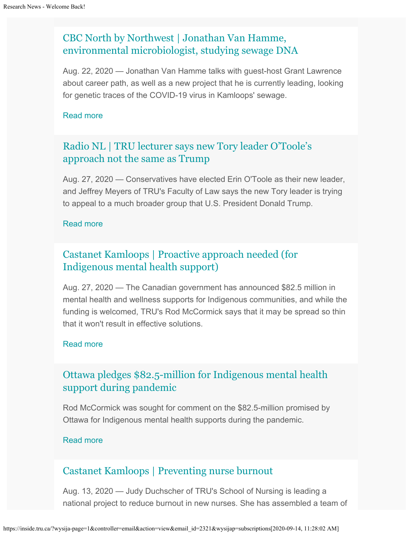# [CBC North by Northwest | Jonathan Van Hamme,](http://inside.tru.ca/inthemedia/cbc-north-by-northwest-jonathan-van-hamme-environmental-microbiologist-studying-sewage-dna/) [environmental microbiologist, studying sewage DNA](http://inside.tru.ca/inthemedia/cbc-north-by-northwest-jonathan-van-hamme-environmental-microbiologist-studying-sewage-dna/)

Aug. 22, 2020 — Jonathan Van Hamme talks with guest-host Grant Lawrence about career path, as well as a new project that he is currently leading, looking for genetic traces of the COVID-19 virus in Kamloops' sewage.

#### [Read more](http://inside.tru.ca/inthemedia/cbc-north-by-northwest-jonathan-van-hamme-environmental-microbiologist-studying-sewage-dna/)

## [Radio NL | TRU lecturer says new Tory leader O'Toole's](http://inside.tru.ca/inthemedia/radio-nl-tru-lecturer-says-new-tory-leader-otooles-approach-not-the-same-as-trump/) [approach not the same as Trump](http://inside.tru.ca/inthemedia/radio-nl-tru-lecturer-says-new-tory-leader-otooles-approach-not-the-same-as-trump/)

Aug. 27, 2020 — Conservatives have elected Erin O'Toole as their new leader, and Jeffrey Meyers of TRU's Faculty of Law says the new Tory leader is trying to appeal to a much broader group that U.S. President Donald Trump.

#### [Read more](http://inside.tru.ca/inthemedia/radio-nl-tru-lecturer-says-new-tory-leader-otooles-approach-not-the-same-as-trump/)

# [Castanet Kamloops | Proactive approach needed \(for](http://inside.tru.ca/inthemedia/castanet-kamloops-proactive-approach-needed-for-indigenous-mental-health-support/) [Indigenous mental health support\)](http://inside.tru.ca/inthemedia/castanet-kamloops-proactive-approach-needed-for-indigenous-mental-health-support/)

Aug. 27, 2020 — The Canadian government has announced \$82.5 million in mental health and wellness supports for Indigenous communities, and while the funding is welcomed, TRU's Rod McCormick says that it may be spread so thin that it won't result in effective solutions.

#### [Read more](http://inside.tru.ca/inthemedia/castanet-kamloops-proactive-approach-needed-for-indigenous-mental-health-support/)

## [Ottawa pledges \\$82.5-million for Indigenous mental health](http://inside.tru.ca/experts/ottawa-pledges-82-5-million-for-indigenous-mental-health-support-during-pandemic/) [support during pandemic](http://inside.tru.ca/experts/ottawa-pledges-82-5-million-for-indigenous-mental-health-support-during-pandemic/)

Rod McCormick was sought for comment on the \$82.5-million promised by Ottawa for Indigenous mental health supports during the pandemic.

#### [Read more](http://inside.tru.ca/experts/ottawa-pledges-82-5-million-for-indigenous-mental-health-support-during-pandemic/)

### [Castanet Kamloops | Preventing nurse burnout](http://inside.tru.ca/inthemedia/castanet-kamloops-preventing-nurse-burnout/)

Aug. 13, 2020 — Judy Duchscher of TRU's School of Nursing is leading a national project to reduce burnout in new nurses. She has assembled a team of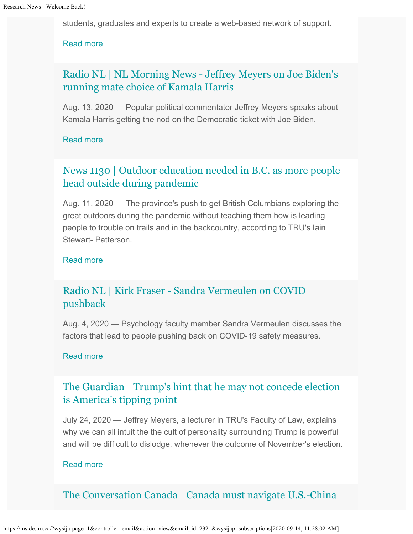students, graduates and experts to create a web-based network of support.

#### [Read more](http://inside.tru.ca/inthemedia/castanet-kamloops-preventing-nurse-burnout/)

### [Radio NL | NL Morning News - Jeffrey Meyers on Joe Biden's](http://inside.tru.ca/inthemedia/radio-nl-nl-morning-news-jeffrey-meyers-on-joe-bidens-running-mate-choice-of-kamala-harris/) [running mate choice of Kamala Harris](http://inside.tru.ca/inthemedia/radio-nl-nl-morning-news-jeffrey-meyers-on-joe-bidens-running-mate-choice-of-kamala-harris/)

Aug. 13, 2020 — Popular political commentator Jeffrey Meyers speaks about Kamala Harris getting the nod on the Democratic ticket with Joe Biden.

#### [Read more](http://inside.tru.ca/inthemedia/radio-nl-nl-morning-news-jeffrey-meyers-on-joe-bidens-running-mate-choice-of-kamala-harris/)

## [News 1130 | Outdoor education needed in B.C. as more people](http://inside.tru.ca/inthemedia/news-1130-outdoor-education-needed-in-b-c-as-more-people-head-outside-during-pandemic/) [head outside during pandemic](http://inside.tru.ca/inthemedia/news-1130-outdoor-education-needed-in-b-c-as-more-people-head-outside-during-pandemic/)

Aug. 11, 2020 — The province's push to get British Columbians exploring the great outdoors during the pandemic without teaching them how is leading people to trouble on trails and in the backcountry, according to TRU's Iain Stewart- Patterson.

#### [Read more](http://inside.tru.ca/inthemedia/news-1130-outdoor-education-needed-in-b-c-as-more-people-head-outside-during-pandemic/)

### [Radio NL | Kirk Fraser - Sandra Vermeulen on COVID](http://inside.tru.ca/inthemedia/radio-nl-kirk-fraser-sandra-vermeulen-on-covid-pushback/) [pushback](http://inside.tru.ca/inthemedia/radio-nl-kirk-fraser-sandra-vermeulen-on-covid-pushback/)

Aug. 4, 2020 — Psychology faculty member Sandra Vermeulen discusses the factors that lead to people pushing back on COVID-19 safety measures.

#### [Read more](http://inside.tru.ca/inthemedia/radio-nl-kirk-fraser-sandra-vermeulen-on-covid-pushback/)

## [The Guardian | Trump's hint that he may not concede election](http://inside.tru.ca/inthemedia/the-guardian-trumps-hint-that-he-may-not-concede-election-is-americas-tipping-point/) [is America's tipping point](http://inside.tru.ca/inthemedia/the-guardian-trumps-hint-that-he-may-not-concede-election-is-americas-tipping-point/)

July 24, 2020 — Jeffrey Meyers, a lecturer in TRU's Faculty of Law, explains why we can all intuit the the cult of personality surrounding Trump is powerful and will be difficult to dislodge, whenever the outcome of November's election.

#### [Read more](http://inside.tru.ca/inthemedia/the-guardian-trumps-hint-that-he-may-not-concede-election-is-americas-tipping-point/)

### [The Conversation Canada | Canada must navigate U.S.-China](http://inside.tru.ca/inthemedia/the-conversation-canada-canada-must-navigate-u-s-china-tensions-by-staying-true-to-its-values/)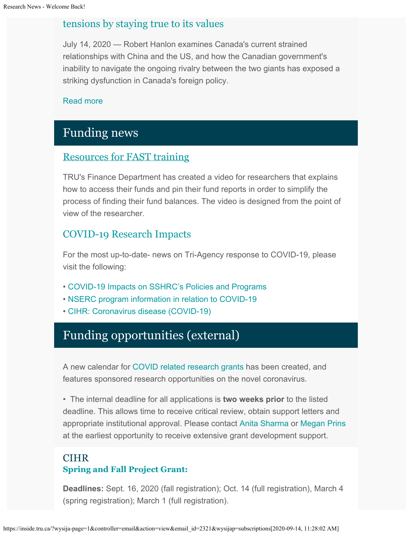### [tensions by staying true to its values](http://inside.tru.ca/inthemedia/the-conversation-canada-canada-must-navigate-u-s-china-tensions-by-staying-true-to-its-values/)

July 14, 2020 — Robert Hanlon examines Canada's current strained relationships with China and the US, and how the Canadian government's inability to navigate the ongoing rivalry between the two giants has exposed a striking dysfunction in Canada's foreign policy.

#### [Read more](http://inside.tru.ca/inthemedia/the-conversation-canada-canada-must-navigate-u-s-china-tensions-by-staying-true-to-its-values/)

# Funding news

### [Resources for FAST training](https://one.tru.ca/Pages/FASTTraining.aspx)

TRU's Finance Department has created a video for researchers that explains how to access their funds and pin their fund reports in order to simplify the process of finding their fund balances. The video is designed from the point of view of the researcher.

### [COVID-19 Research Impacts](https://tru.ca/research/covid-19-research-impacts.html)

For the most up-to-date- news on Tri-Agency response to COVID-19, please visit the following:

- [COVID-19 Impacts on SSHRC's Policies and Programs](https://www.sshrc-crsh.gc.ca/news_room-salle_de_presse/covid-19-eng.aspx)
- [NSERC program information in relation to COVID-19](https://www.nserc-crsng.gc.ca/Media-Media/NewsRelease-CommuniqueDePresse_eng.asp?ID=1139)
- [CIHR: Coronavirus disease \(COVID-19\)](https://cihr-irsc.gc.ca/e/51917.html)

# Funding opportunities (external)

A new calendar for [COVID related research grants](https://www.tru.ca/research/research-services/research-services-faculty/faculty-research-funding/funding-deadlines.html) has been created, and features sponsored research opportunities on the novel coronavirus.

• The internal deadline for all applications is **two weeks prior** to the listed deadline. This allows time to receive critical review, obtain support letters and appropriate institutional approval. Please contact [Anita Sharma](mailto:ansharma@tru.ca) or [Megan Prins](mailto:mprins@tru.ca) at the earliest opportunity to receive extensive grant development support.

### CIHR **[Spring and Fall Project Grant:](https://cihr-irsc.gc.ca/e/51996.html)**

**Deadlines:** Sept. 16, 2020 (fall registration); Oct. 14 (full registration), March 4 (spring registration); March 1 (full registration).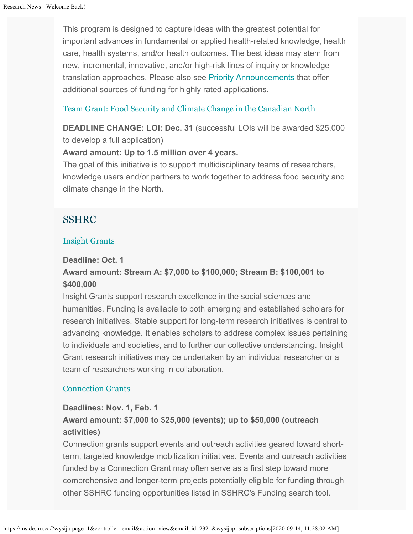This program is designed to capture ideas with the greatest potential for important advances in fundamental or applied health-related knowledge, health care, health systems, and/or health outcomes. The best ideas may stem from new, incremental, innovative, and/or high-risk lines of inquiry or knowledge translation approaches. Please also see [Priority Announcements](https://www.researchnet-recherchenet.ca/rnr16/viewOpportunityDetails.do?progCd=11078&language=E&org=CIHR) that offer additional sources of funding for highly rated applications.

#### [Team Grant: Food Security and Climate Change in the Canadian North](https://www.researchnet-recherchenet.ca/rnr16/vwOpprtntyDtls.do?prog=3269&view=search&launchMonth=2&launchYear=2020&type=EXACT&resultCount=25&next=1)

**DEADLINE CHANGE: LOI: Dec. 31** (successful LOIs will be awarded \$25,000 to develop a full application)

#### **Award amount: Up to 1.5 million over 4 years.**

The goal of this initiative is to support multidisciplinary teams of researchers, knowledge users and/or partners to work together to address food security and climate change in the North.

### SSHRC

#### [Insight Grants](http://www.sshrc-crsh.gc.ca/funding-financement/programs-programmes/insight_grants-subventions_savoir-eng.aspx)

#### **Deadline: Oct. 1**

### **Award amount: Stream A: \$7,000 to \$100,000; Stream B: \$100,001 to \$400,000**

Insight Grants support research excellence in the social sciences and humanities. Funding is available to both emerging and established scholars for research initiatives. Stable support for long-term research initiatives is central to advancing knowledge. It enables scholars to address complex issues pertaining to individuals and societies, and to further our collective understanding. Insight Grant research initiatives may be undertaken by an individual researcher or a team of researchers working in collaboration.

#### [Connection Grants](http://www.sshrc-crsh.gc.ca/funding-financement/programs-programmes/connection_grants-subventions_connexion-eng.aspx)

### **Deadlines: Nov. 1, Feb. 1 Award amount: \$7,000 to \$25,000 (events); up to \$50,000 (outreach activities)**

Connection grants support events and outreach activities geared toward shortterm, targeted knowledge mobilization initiatives. Events and outreach activities funded by a Connection Grant may often serve as a first step toward more comprehensive and longer-term projects potentially eligible for funding through other SSHRC funding opportunities listed in SSHRC's Funding search tool.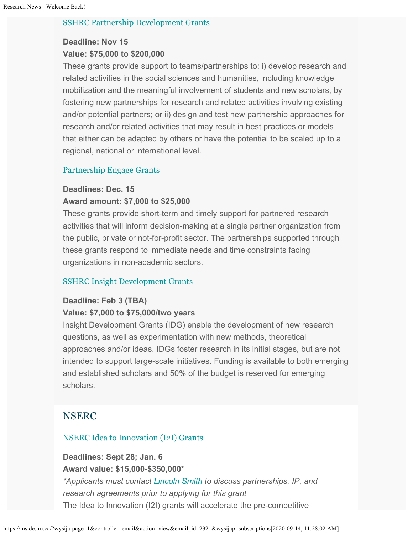#### [SSHRC Partnership Development Grants](http://www.sshrc-crsh.gc.ca/funding-financement/programs-programmes/partnership_development_grants-subventions_partenariat_developpement-eng.aspx)

### **Deadline: Nov 15 Value: \$75,000 to \$200,000**

These grants provide support to teams/partnerships to: i) develop research and related activities in the social sciences and humanities, including knowledge mobilization and the meaningful involvement of students and new scholars, by fostering new partnerships for research and related activities involving existing and/or potential partners; or ii) design and test new partnership approaches for research and/or related activities that may result in best practices or models that either can be adapted by others or have the potential to be scaled up to a regional, national or international level.

#### [Partnership Engage Grants](http://www.sshrc-crsh.gc.ca/funding-financement/programs-programmes/partnership_engage_grants-subventions_d_engagement_partenarial-eng.aspx)

#### **Deadlines: Dec. 15**

#### **Award amount: \$7,000 to \$25,000**

These grants provide short-term and timely support for partnered research activities that will inform decision-making at a single partner organization from the public, private or not-for-profit sector. The partnerships supported through these grants respond to immediate needs and time constraints facing organizations in non-academic sectors.

#### [SSHRC Insight Development Grants](http://www.sshrc-crsh.gc.ca/funding-financement/programs-programmes/insight_development_grants-subventions_de_developpement_savoir-eng.aspx)

### **Deadline: Feb 3 (TBA)**

#### **Value: \$7,000 to \$75,000/two years**

Insight Development Grants (IDG) enable the development of new research questions, as well as experimentation with new methods, theoretical approaches and/or ideas. IDGs foster research in its initial stages, but are not intended to support large-scale initiatives. Funding is available to both emerging and established scholars and 50% of the budget is reserved for emerging scholars.

### **NSERC**

#### [NSERC Idea to Innovation \(I2I\) Grants](https://www.nserc-crsng.gc.ca/Professors-Professeurs/RPP-PP/I2I-Innov_eng.asp)

# **Deadlines: Sept 28; Jan. 6**

**Award value: \$15,000-\$350,000\***

*\*Applicants must contact [Lincoln Smith](mailto:lsmith@tru.ca) to discuss partnerships, IP, and research agreements prior to applying for this grant* The Idea to Innovation (I2I) grants will accelerate the pre-competitive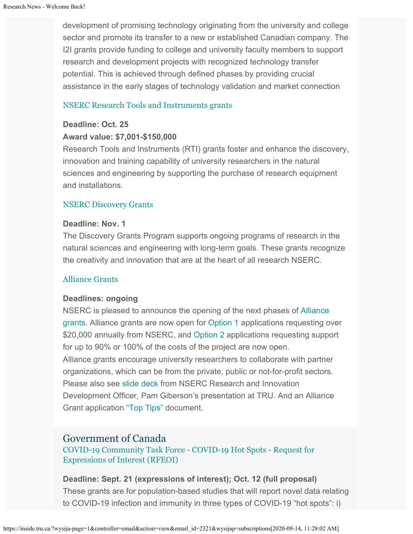development of promising technology originating from the university and college sector and promote its transfer to a new or established Canadian company. The I2I grants provide funding to college and university faculty members to support research and development projects with recognized technology transfer potential. This is achieved through defined phases by providing crucial assistance in the early stages of technology validation and market connection

#### [NSERC Research Tools and Instruments grants](http://www.nserc-crsng.gc.ca/Professors-Professeurs/RTII-OIRI/RTI-OIR_eng.asp)

#### **Deadline: Oct. 25**

#### **Award value: \$7,001-\$150,000**

Research Tools and Instruments (RTI) grants foster and enhance the discovery, innovation and training capability of university researchers in the natural sciences and engineering by supporting the purchase of research equipment and installations.

#### [NSERC Discovery Grants](http://www.nserc-crsng.gc.ca/Professors-Professeurs/DGIC-CISD_eng.asp)

#### **Deadline: Nov. 1**

The Discovery Grants Program supports ongoing programs of research in the natural sciences and engineering with long-term goals. These grants recognize the creativity and innovation that are at the heart of all research NSERC[.](https://www.nserc-crsng.gc.ca/Innovate-Innover/COVID-19/index_eng.asp)

#### [Alliance Grants](https://www.nserc-crsng.gc.ca/Innovate-Innover/alliance-alliance/index_eng.asp)

#### **Deadlines: ongoing**

NSERC is pleased to announce the opening of the next phases of [Alliance](https://www.nserc-crsng.gc.ca/Innovate-Innover/alliance-alliance/index_eng.asp) [grants](https://www.nserc-crsng.gc.ca/Innovate-Innover/alliance-alliance/index_eng.asp). Alliance grants are now open for [Option 1](https://www.nserc-crsng.gc.ca/Innovate-Innover/alliance-alliance/funding-financement_eng.asp#option1) applications requesting over \$20,000 annually from NSERC, and [Option 2](https://www.nserc-crsng.gc.ca/Innovate-Innover/alliance-alliance/index_eng.asp) applications requesting support for up to 90% or 100% of the costs of the project are now open. Alliance grants encourage university researchers to collaborate with partner organizations, which can be from the private, public or not-for-profit sectors. Please also see [slide deck](https://one.tru.ca/sites/rgs/ToolsandResources/_layouts/15/WopiFrame.aspx?sourcedoc=/sites/rgs/ToolsandResources/Shared%20Documents/NSERC_ALLIANCE.pptx&action=default) from NSERC Research and Innovation Development Officer, Pam Giberson's presentation at TRU. And an Alliance Grant application ["Top Tips"](https://one.tru.ca/sites/rgs/ToolsandResources/_layouts/15/WopiFrame.aspx?sourcedoc=/sites/rgs/ToolsandResources/Shared%20Documents/Alliance%20Grant%20-%20Top%20Tips%20EN%20%20FR.pdf&action=default) document.

### Government of Canada

[COVID-19 Community Task Force -](https://www.covid19immunitytaskforce.ca/research/funding-opportunities/) COVID-19 Hot Spot[s - Request for](https://www.covid19immunitytaskforce.ca/research/funding-opportunities/) [Expressions of Interest \(RFEOI\)](https://www.covid19immunitytaskforce.ca/research/funding-opportunities/)

**Deadline: Sept. 21 (expressions of interest); Oct. 12 (full proposal)** These grants are for population-based studies that will report novel data relating to COVID-19 infection and immunity in three types of COVID-19 "hot spots": i)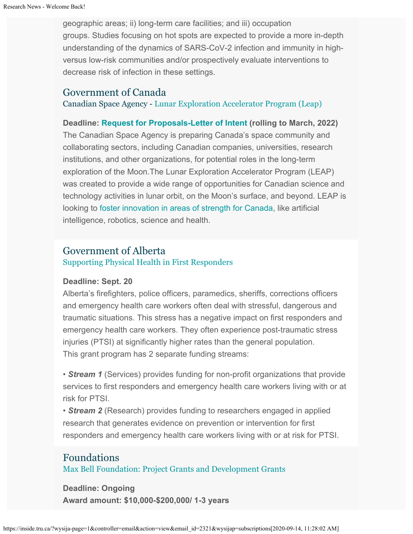geographic areas; ii) long-term care facilities; and iii) occupation groups. Studies focusing on hot spots are expected to provide a more in-depth understanding of the dynamics of SARS-CoV-2 infection and immunity in highversus low-risk communities and/or prospectively evaluate interventions to decrease risk of infection in these settings.

#### Government of Canada

Canadian Space Agency - [Lunar Exploration Accelerator Program \(Leap\)](http://inside.tru.ca/?email_id=2321&user_id=45&urlpassed=aHR0cHM6Ly9hc2MtY3NhLmdjLmNhL2VuZy9mdW5kaW5nLXByb2dyYW1zL3Byb2dyYW1zL2xlYXAvZGVmYXVsdC5hc3A&controller=stats&action=analyse&wysija-page=1&wysijap=subscriptions)

**Deadline: [Request for Proposals-Letter of Intent](http://inside.tru.ca/?email_id=2321&user_id=45&urlpassed=aHR0cHM6Ly9hc2MtY3NhLmdjLmNhL2VuZy9mdW5kaW5nLXByb2dyYW1zL3Byb2dyYW1zL2xlYXAvZGVmYXVsdC5hc3A&controller=stats&action=analyse&wysija-page=1&wysijap=subscriptions) (rolling to March, 2022)** The Canadian Space Agency is preparing Canada's space community and collaborating sectors, including Canadian companies, universities, research institutions, and other organizations, for potential roles in the long-term exploration of the Moon.The Lunar Exploration Accelerator Program (LEAP) was created to provide a wide range of opportunities for Canadian science and technology activities in lunar orbit, on the Moon's surface, and beyond. LEAP is looking to [foster innovation in areas of strength for Canada](http://inside.tru.ca/?email_id=2321&user_id=45&urlpassed=aHR0cHM6Ly9hc2MtY3NhLmdjLmNhL2VuZy9hc3Ryb25vbXkvbW9vbi1leHBsb3JhdGlvbi9jYW5hZGEtcm9sZS5hc3A&controller=stats&action=analyse&wysija-page=1&wysijap=subscriptions), like artificial intelligence, robotics, science and health.

### Government of Alberta

[Supporting Physical Health in First Responders](https://www.alberta.ca/first-responders-mental-health-grants.aspx)

#### **Deadline: Sept. 20**

Alberta's firefighters, police officers, paramedics, sheriffs, corrections officers and emergency health care workers often deal with stressful, dangerous and traumatic situations. This stress has a negative impact on first responders and emergency health care workers. They often experience post-traumatic stress injuries (PTSI) at significantly higher rates than the general population. This grant program has 2 separate funding streams:

• *Stream 1* (Services) provides funding for non-profit organizations that provide services to first responders and emergency health care workers living with or at risk for PTSI.

• *Stream 2* (Research) provides funding to researchers engaged in applied research that generates evidence on prevention or intervention for first responders and emergency health care workers living with or at risk for PTSI.

### Foundations [Max Bell Foundation: Project Grants and Development Grants](https://maxbell.org/our-work/granting/types-programs/)

**Deadline: Ongoing Award amount: \$10,000-\$200,000/ 1-3 years**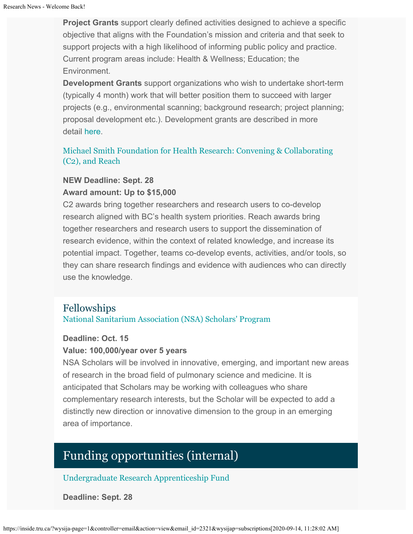**Project Grants** support clearly defined activities designed to achieve a specific objective that aligns with the Foundation's mission and criteria and that seek to support projects with a high likelihood of informing public policy and practice. Current program areas include: Health & Wellness; Education; the Environment.

**Development Grants** support organizations who wish to undertake short-term (typically 4 month) work that will better position them to succeed with larger projects (e.g., environmental scanning; background research; project planning; proposal development etc.). Development grants are described in more detail [here](https://maxbell.org/our-work/types-programs/).

### [Michael Smith Foundation for Health Research: Convening & Collaborating](https://www.msfhr.org/2020-convening-collaborating-competition) [\(C2\), and Reach](https://www.msfhr.org/2020-convening-collaborating-competition)

#### **NEW Deadline: Sept. 28**

#### **Award amount: Up to \$15,000**

C2 awards bring together researchers and research users to co-develop research aligned with BC's health system priorities. Reach awards bring together researchers and research users to support the dissemination of research evidence, within the context of related knowledge, and increase its potential impact. Together, teams co-develop events, activities, and/or tools, so they can share research findings and evidence with audiences who can directly use the knowledge.

### Fellowships

#### [National Sanitarium Association \(NSA\) Scholars' Program](https://nationalsanitarium.ca/images/pdf/nsa_2020/nsa_2020_sp_info.pdf)

#### **Deadline: Oct. 15**

#### **Value: 100,000/year over 5 years**

NSA Scholars will be involved in innovative, emerging, and important new areas of research in the broad field of pulmonary science and medicine. It is anticipated that Scholars may be working with colleagues who share complementary research interests, but the Scholar will be expected to add a distinctly new direction or innovative dimension to the group in an emerging area of importance.

# Funding opportunities (internal)

#### [Undergraduate Research Apprenticeship Fund](https://tru.ca/research/research-services/research-services-faculty/faculty-research-funding/internal-opportunities.html)

**Deadline: Sept. 28**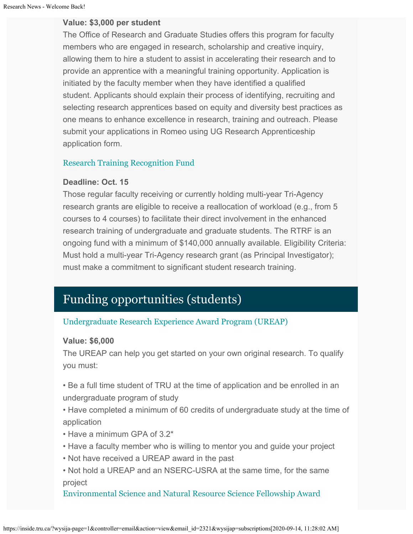#### **Value: \$3,000 per student**

The Office of Research and Graduate Studies offers this program for faculty members who are engaged in research, scholarship and creative inquiry, allowing them to hire a student to assist in accelerating their research and to provide an apprentice with a meaningful training opportunity. Application is initiated by the faculty member when they have identified a qualified student. Applicants should explain their process of identifying, recruiting and selecting research apprentices based on equity and diversity best practices as one means to enhance excellence in research, training and outreach. Please submit your applications in Romeo using UG Research Apprenticeship application form.

#### [Research Training Recognition Fund](https://tru.ca/research/research-services/research-services-faculty/faculty-research-funding/internal-opportunities.html)

#### **Deadline: Oct. 15**

Those regular faculty receiving or currently holding multi-year Tri-Agency research grants are eligible to receive a reallocation of workload (e.g., from 5 courses to 4 courses) to facilitate their direct involvement in the enhanced research training of undergraduate and graduate students. The RTRF is an ongoing fund with a minimum of \$140,000 annually available. Eligibility Criteria: Must hold a multi-year Tri-Agency research grant (as Principal Investigator); must make a commitment to significant student research training.

# Funding opportunities (students)

#### [Undergraduate Research Experience Award Program \(UREAP\)](https://tru.ca/research/undergraduate-research/undergraduate-research-opportunities/ureap-award.html)

#### **Value: \$6,000**

The UREAP can help you get started on your own original research. To qualify you must:

• Be a full time student of TRU at the time of application and be enrolled in an undergraduate program of study

- Have completed a minimum of 60 credits of undergraduate study at the time of application
- Have a minimum GPA of 3.2\*
- Have a faculty member who is willing to mentor you and guide your project
- Not have received a UREAP award in the past

• Not hold a UREAP and an NSERC-USRA at the same time, for the same project

[Environmental Science and Natural Resource Science Fellowship Award](https://tru.ca/research/undergraduate-research/undergraduate-research-opportunities.html)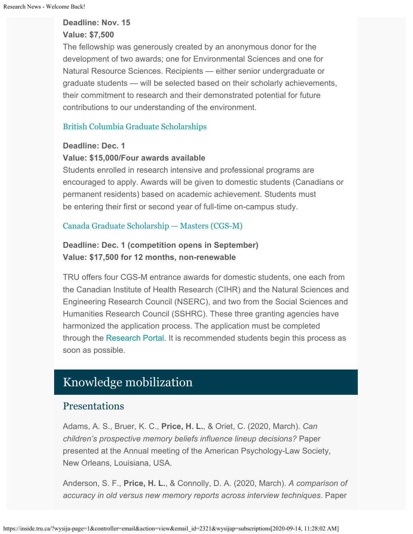#### **Deadline: Nov. 15**

#### **Value: \$7,500**

The fellowship was generously created by an anonymous donor for the development of two awards; one for Environmental Sciences and one for Natural Resource Sciences. Recipients — either senior undergraduate or graduate students — will be selected based on their scholarly achievements, their commitment to research and their demonstrated potential for future contributions to our understanding of the environment.

### [British Columbia Graduate Scholarships](https://www.tru.ca/awards/awards/entrance.html#gradscholar)

#### **Deadline: Dec. 1**

#### **Value: \$15,000/Four awards available**

Students enrolled in research intensive and professional programs are encouraged to apply. Awards will be given to domestic students (Canadians or permanent residents) based on academic achievement. Students must be entering their first or second year of full-time on-campus study.

#### [Canada Graduate Scholarship — Masters \(CGS-M\)](http://www.nserc-crsng.gc.ca/Students-Etudiants/PG-CS/CGSM-BESCM_eng.asp)

### **Deadline: Dec. 1 (competition opens in September) Value: \$17,500 for 12 months, non-renewable**

TRU offers four CGS-M entrance awards for domestic students, one each from the Canadian Institute of Health Research (CIHR) and the Natural Sciences and Engineering Research Council (NSERC), and two from the Social Sciences and Humanities Research Council (SSHRC). These three granting agencies have harmonized the application process. The application must be completed through the [Research Portal](https://portal-portail.nserc-crsng.gc.ca/s/login.aspx). It is recommended students begin this process as soon as possible.

# Knowledge mobilization

### **Presentations**

Adams, A. S., Bruer, K. C., **Price, H. L.**, & Oriet, C. (2020, March). *Can children's prospective memory beliefs influence lineup decisions?* Paper presented at the Annual meeting of the American Psychology-Law Society, New Orleans, Louisiana, USA.

Anderson, S. F., **Price, H. L.**, & Connolly, D. A. (2020, March). *A comparison of accuracy in old versus new memory reports across interview techniques*. Paper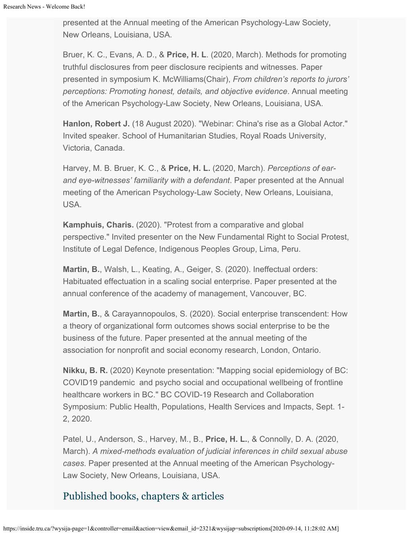presented at the Annual meeting of the American Psychology-Law Society, New Orleans, Louisiana, USA.

Bruer, K. C., Evans, A. D., & **Price, H. L**. (2020, March). Methods for promoting truthful disclosures from peer disclosure recipients and witnesses. Paper presented in symposium K. McWilliams(Chair), *From children's reports to jurors' perceptions: Promoting honest, details, and objective evidence*. Annual meeting of the American Psychology-Law Society, New Orleans, Louisiana, USA.

**Hanlon, Robert J.** (18 August 2020). "Webinar: China's rise as a Global Actor." Invited speaker. School of Humanitarian Studies, Royal Roads University, Victoria, Canada.

Harvey, M. B. Bruer, K. C., & **Price, H. L.** (2020, March). *Perceptions of earand eye-witnesses' familiarity with a defendant*. Paper presented at the Annual meeting of the American Psychology-Law Society, New Orleans, Louisiana, USA.

**Kamphuis, Charis.** (2020). "Protest from a comparative and global perspective." Invited presenter on the New Fundamental Right to Social Protest, Institute of Legal Defence, Indigenous Peoples Group, Lima, Peru.

**Martin, B.**, Walsh, L., Keating, A., Geiger, S. (2020). Ineffectual orders: Habituated effectuation in a scaling social enterprise. Paper presented at the annual conference of the academy of management, Vancouver, BC.

**Martin, B.**, & Carayannopoulos, S. (2020). Social enterprise transcendent: How a theory of organizational form outcomes shows social enterprise to be the business of the future. Paper presented at the annual meeting of the association for nonprofit and social economy research, London, Ontario.

**Nikku, B. R.** (2020) Keynote presentation: "Mapping social epidemiology of BC: COVID19 pandemic and psycho social and occupational wellbeing of frontline healthcare workers in BC." BC COVID-19 Research and Collaboration Symposium: Public Health, Populations, Health Services and Impacts, Sept. 1- 2, 2020.

Patel, U., Anderson, S., Harvey, M., B., **Price, H. L.**, & Connolly, D. A. (2020, March). *A mixed-methods evaluation of judicial inferences in child sexual abuse cases*. Paper presented at the Annual meeting of the American Psychology-Law Society, New Orleans, Louisiana, USA.

# Published books, chapters & articles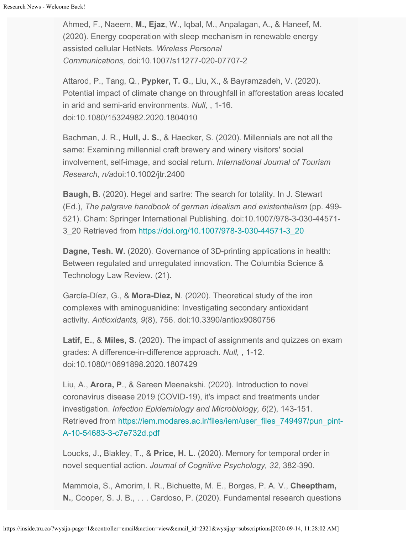Ahmed, F., Naeem, **M., Ejaz**, W., Iqbal, M., Anpalagan, A., & Haneef, M. (2020). Energy cooperation with sleep mechanism in renewable energy assisted cellular HetNets. *Wireless Personal Communications,* doi:10.1007/s11277-020-07707-2

Attarod, P., Tang, Q., **Pypker, T. G**., Liu, X., & Bayramzadeh, V. (2020). Potential impact of climate change on throughfall in afforestation areas located in arid and semi-arid environments. *Null,* , 1-16. doi:10.1080/15324982.2020.1804010

Bachman, J. R., **Hull, J. S.**, & Haecker, S. (2020). Millennials are not all the same: Examining millennial craft brewery and winery visitors' social involvement, self-image, and social return. *International Journal of Tourism Research, n/a*doi:10.1002/jtr.2400

**Baugh, B.** (2020). Hegel and sartre: The search for totality. In J. Stewart (Ed.), *The palgrave handbook of german idealism and existentialism* (pp. 499- 521). Cham: Springer International Publishing. doi:10.1007/978-3-030-44571- 3\_20 Retrieved from [https://doi.org/10.1007/978-3-030-44571-3\\_20](https://doi.org/10.1007/978-3-030-44571-3_20)

**Dagne, Tesh. W.** (2020). Governance of 3D-printing applications in health: Between regulated and unregulated innovation. The Columbia Science & Technology Law Review. (21).

García-Díez, G., & **Mora-Diez, N**. (2020). Theoretical study of the iron complexes with aminoguanidine: Investigating secondary antioxidant activity. *Antioxidants, 9*(8), 756. doi:10.3390/antiox9080756

**Latif, E.**, & **Miles, S**. (2020). The impact of assignments and quizzes on exam grades: A difference-in-difference approach. *Null,* , 1-12. doi:10.1080/10691898.2020.1807429

Liu, A., **Arora, P**., & Sareen Meenakshi. (2020). Introduction to novel coronavirus disease 2019 (COVID-19), it's impact and treatments under investigation. *Infection Epidemiology and Microbiology, 6*(2), 143-151. Retrieved from [https://iem.modares.ac.ir/files/iem/user\\_files\\_749497/pun\\_pint-](https://iem.modares.ac.ir/files/iem/user_files_749497/pun_pint-A-10-54683-3-c7e732d.pdf)[A-10-54683-3-c7e732d.pdf](https://iem.modares.ac.ir/files/iem/user_files_749497/pun_pint-A-10-54683-3-c7e732d.pdf)

Loucks, J., Blakley, T., & **Price, H. L**. (2020). Memory for temporal order in novel sequential action. *Journal of Cognitive Psychology, 32,* 382-390.

Mammola, S., Amorim, I. R., Bichuette, M. E., Borges, P. A. V., **Cheeptham, N.**, Cooper, S. J. B., . . . Cardoso, P. (2020). Fundamental research questions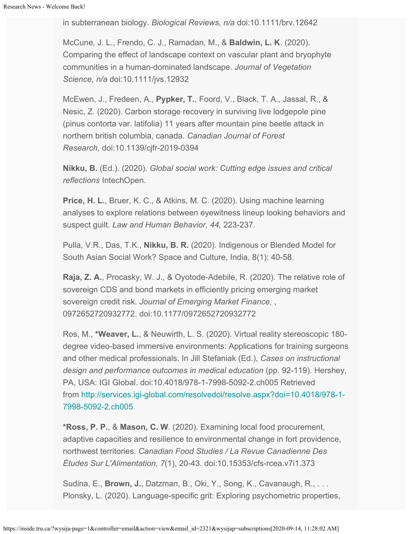in subterranean biology. *Biological Reviews, n/a* doi:10.1111/brv.12642

McCune, J. L., Frendo, C. J., Ramadan, M., & **Baldwin, L. K**. (2020). Comparing the effect of landscape context on vascular plant and bryophyte communities in a human-dominated landscape. *Journal of Vegetation Science, n/a* doi:10.1111/jvs.12932

McEwen, J., Fredeen, A., **Pypker, T.**, Foord, V., Black, T. A., Jassal, R., & Nesic, Z. (2020). Carbon storage recovery in surviving live lodgepole pine (pinus contorta var. latifolia) 11 years after mountain pine beetle attack in northern british columbia, canada. *Canadian Journal of Forest Research,* doi:10.1139/cjfr-2019-0394

**Nikku, B.** (Ed.). (2020). *Global social work: Cutting edge issues and critical reflections* IntechOpen.

**Price, H. L.**, Bruer, K. C., & Atkins, M. C. (2020). Using machine learning analyses to explore relations between eyewitness lineup looking behaviors and suspect guilt. *Law and Human Behavior, 44,* 223-237.

Pulla, V.R., Das, T.K., **Nikku, B. R.** (2020). Indigenous or Blended Model for South Asian Social Work? Space and Culture, India, 8(1): 40-58.

**Raja, Z. A.**, Procasky, W. J., & Oyotode-Adebile, R. (2020). The relative role of sovereign CDS and bond markets in efficiently pricing emerging market sovereign credit risk. *Journal of Emerging Market Finance,* , 0972652720932772. doi:10.1177/0972652720932772

Ros, M., **\*Weaver, L.**, & Neuwirth, L. S. (2020). Virtual reality stereoscopic 180 degree video-based immersive environments: Applications for training surgeons and other medical professionals. In Jill Stefaniak (Ed.), *Cases on instructional design and performance outcomes in medical education* (pp. 92-119). Hershey, PA, USA: IGI Global. doi:10.4018/978-1-7998-5092-2.ch005 Retrieved from [http://services.igi-global.com/resolvedoi/resolve.aspx?doi=10.4018/978-1-](http://services.igi-global.com/resolvedoi/resolve.aspx?doi=10.4018/978-1-7998-5092-2.ch005) [7998-5092-2.ch005](http://services.igi-global.com/resolvedoi/resolve.aspx?doi=10.4018/978-1-7998-5092-2.ch005)

**\*Ross, P. P.**, & **Mason, C. W**. (2020). Examining local food procurement, adaptive capacities and resilience to environmental change in fort providence, northwest territories. *Canadian Food Studies / La Revue Canadienne Des Études Sur L'Alimentation, 7*(1), 20-43. doi:10.15353/cfs-rcea.v7i1.373

Sudina, E., **Brown, J.**, Datzman, B., Oki, Y., Song, K., Cavanaugh, R., . . . Plonsky, L. (2020). Language-specific grit: Exploring psychometric properties,